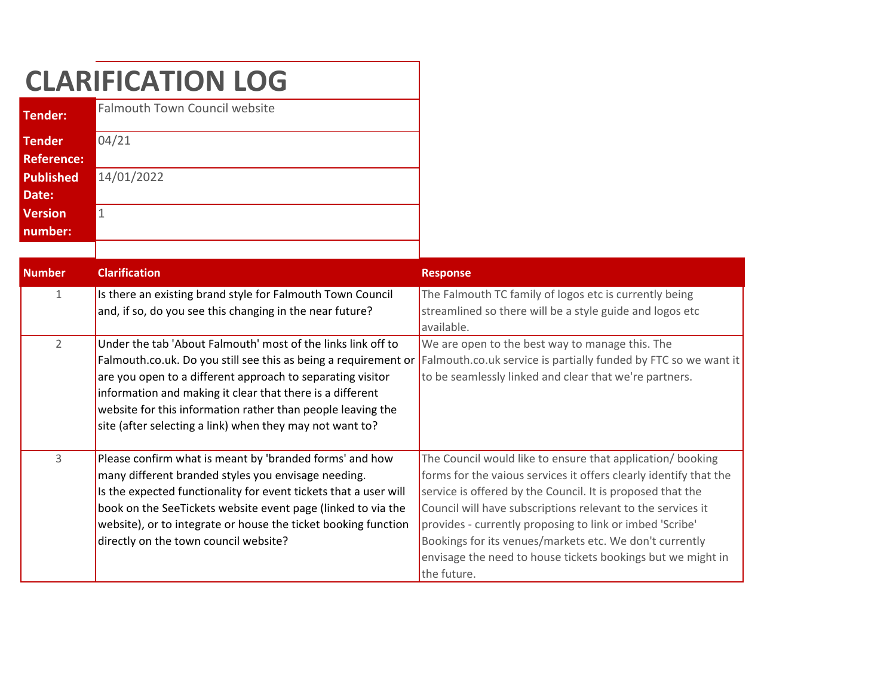|                                    | <b>CLARIFICATION LOG</b>                                                                                                                                                                                                                                                                                                                                      |                                                                                                                                                                                                                                                                                                                                                                                                                                                                   |
|------------------------------------|---------------------------------------------------------------------------------------------------------------------------------------------------------------------------------------------------------------------------------------------------------------------------------------------------------------------------------------------------------------|-------------------------------------------------------------------------------------------------------------------------------------------------------------------------------------------------------------------------------------------------------------------------------------------------------------------------------------------------------------------------------------------------------------------------------------------------------------------|
| <b>Tender:</b>                     | <b>Falmouth Town Council website</b>                                                                                                                                                                                                                                                                                                                          |                                                                                                                                                                                                                                                                                                                                                                                                                                                                   |
| <b>Tender</b><br><b>Reference:</b> | 04/21                                                                                                                                                                                                                                                                                                                                                         |                                                                                                                                                                                                                                                                                                                                                                                                                                                                   |
| <b>Published</b><br>Date:          | 14/01/2022                                                                                                                                                                                                                                                                                                                                                    |                                                                                                                                                                                                                                                                                                                                                                                                                                                                   |
| <b>Version</b><br>number:          | $\vert$ 1                                                                                                                                                                                                                                                                                                                                                     |                                                                                                                                                                                                                                                                                                                                                                                                                                                                   |
| <b>Number</b>                      | <b>Clarification</b>                                                                                                                                                                                                                                                                                                                                          | <b>Response</b>                                                                                                                                                                                                                                                                                                                                                                                                                                                   |
| $\mathbf{1}$                       | Is there an existing brand style for Falmouth Town Council<br>and, if so, do you see this changing in the near future?                                                                                                                                                                                                                                        | The Falmouth TC family of logos etc is currently being<br>streamlined so there will be a style guide and logos etc<br>available.                                                                                                                                                                                                                                                                                                                                  |
| $\overline{2}$                     | Under the tab 'About Falmouth' most of the links link off to<br>are you open to a different approach to separating visitor<br>information and making it clear that there is a different<br>website for this information rather than people leaving the<br>site (after selecting a link) when they may not want to?                                            | We are open to the best way to manage this. The<br>Falmouth.co.uk. Do you still see this as being a requirement or Falmouth.co.uk service is partially funded by FTC so we want it<br>to be seamlessly linked and clear that we're partners.                                                                                                                                                                                                                      |
| 3                                  | Please confirm what is meant by 'branded forms' and how<br>many different branded styles you envisage needing.<br>Is the expected functionality for event tickets that a user will<br>book on the SeeTickets website event page (linked to via the<br>website), or to integrate or house the ticket booking function<br>directly on the town council website? | The Council would like to ensure that application/ booking<br>forms for the vaious services it offers clearly identify that the<br>service is offered by the Council. It is proposed that the<br>Council will have subscriptions relevant to the services it<br>provides - currently proposing to link or imbed 'Scribe'<br>Bookings for its venues/markets etc. We don't currently<br>envisage the need to house tickets bookings but we might in<br>the future. |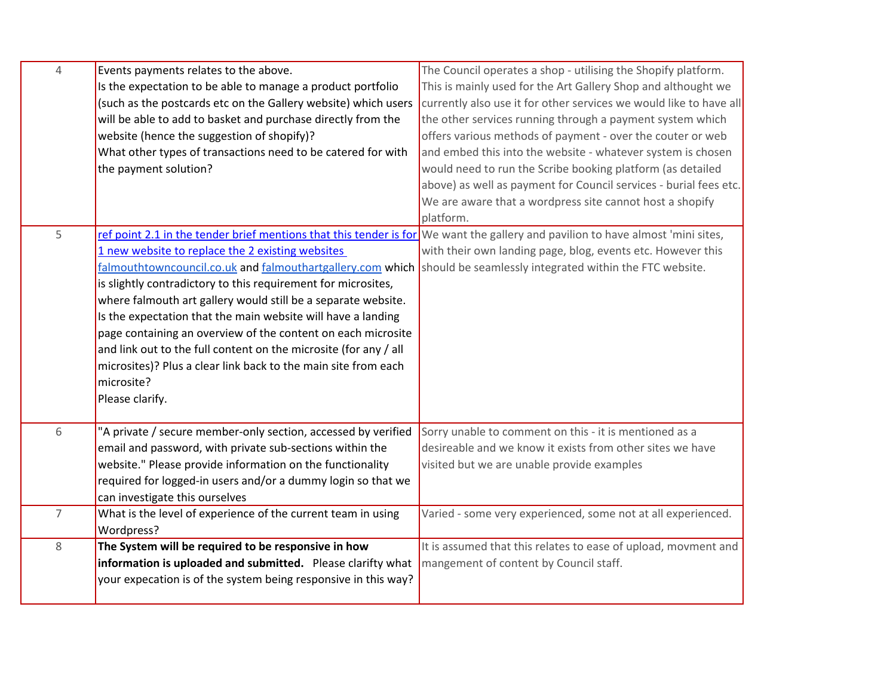| $\overline{4}$ | Events payments relates to the above.                                                                                           | The Council operates a shop - utilising the Shopify platform.      |
|----------------|---------------------------------------------------------------------------------------------------------------------------------|--------------------------------------------------------------------|
|                | Is the expectation to be able to manage a product portfolio                                                                     | This is mainly used for the Art Gallery Shop and althought we      |
|                | (such as the postcards etc on the Gallery website) which users                                                                  | currently also use it for other services we would like to have all |
|                | will be able to add to basket and purchase directly from the                                                                    | the other services running through a payment system which          |
|                | website (hence the suggestion of shopify)?                                                                                      | offers various methods of payment - over the couter or web         |
|                | What other types of transactions need to be catered for with                                                                    | and embed this into the website - whatever system is chosen        |
|                | the payment solution?                                                                                                           | would need to run the Scribe booking platform (as detailed         |
|                |                                                                                                                                 | above) as well as payment for Council services - burial fees etc.  |
|                |                                                                                                                                 | We are aware that a wordpress site cannot host a shopify           |
|                |                                                                                                                                 | platform.                                                          |
| 5              | ref point 2.1 in the tender brief mentions that this tender is for We want the gallery and pavilion to have almost 'mini sites, |                                                                    |
|                | 1 new website to replace the 2 existing websites                                                                                | with their own landing page, blog, events etc. However this        |
|                | falmouthtowncouncil.co.uk and falmouthartgallery.com which should be seamlessly integrated within the FTC website.              |                                                                    |
|                | is slightly contradictory to this requirement for microsites,                                                                   |                                                                    |
|                | where falmouth art gallery would still be a separate website.                                                                   |                                                                    |
|                | Is the expectation that the main website will have a landing                                                                    |                                                                    |
|                | page containing an overview of the content on each microsite                                                                    |                                                                    |
|                | and link out to the full content on the microsite (for any / all                                                                |                                                                    |
|                | microsites)? Plus a clear link back to the main site from each                                                                  |                                                                    |
|                | microsite?                                                                                                                      |                                                                    |
|                | Please clarify.                                                                                                                 |                                                                    |
|                |                                                                                                                                 |                                                                    |
| 6              | "A private / secure member-only section, accessed by verified                                                                   | Sorry unable to comment on this - it is mentioned as a             |
|                | email and password, with private sub-sections within the                                                                        | desireable and we know it exists from other sites we have          |
|                | website." Please provide information on the functionality                                                                       | visited but we are unable provide examples                         |
|                | required for logged-in users and/or a dummy login so that we                                                                    |                                                                    |
|                | can investigate this ourselves                                                                                                  |                                                                    |
| $\overline{7}$ | What is the level of experience of the current team in using                                                                    | Varied - some very experienced, some not at all experienced.       |
|                | Wordpress?                                                                                                                      |                                                                    |
| 8              | The System will be required to be responsive in how                                                                             | It is assumed that this relates to ease of upload, movment and     |
|                | information is uploaded and submitted. Please clarifty what                                                                     | mangement of content by Council staff.                             |
|                | your expecation is of the system being responsive in this way?                                                                  |                                                                    |
|                |                                                                                                                                 |                                                                    |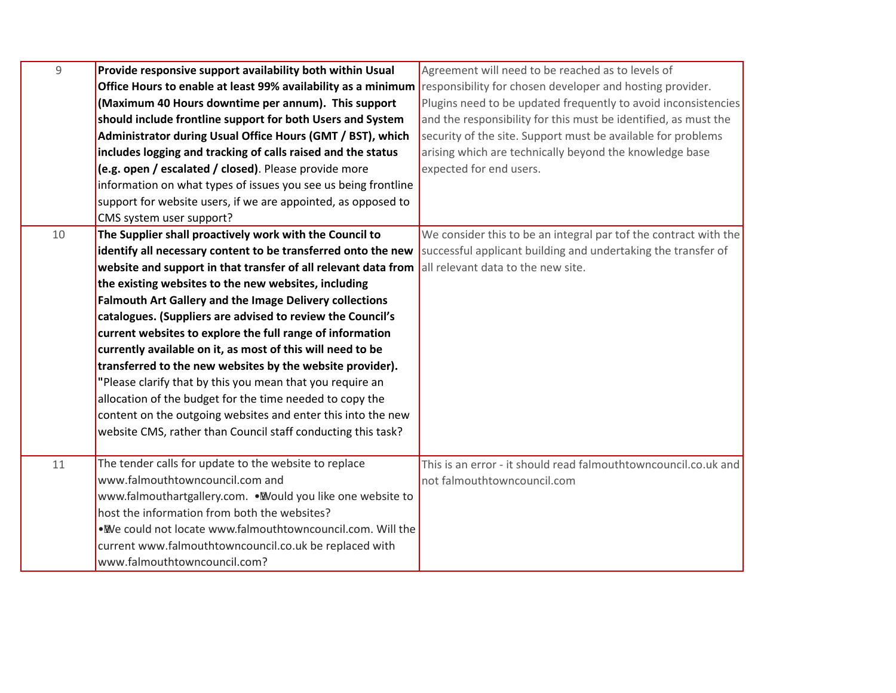| $\overline{9}$ | Provide responsive support availability both within Usual      | Agreement will need to be reached as to levels of                |
|----------------|----------------------------------------------------------------|------------------------------------------------------------------|
|                | Office Hours to enable at least 99% availability as a minimum  | responsibility for chosen developer and hosting provider.        |
|                | (Maximum 40 Hours downtime per annum). This support            | Plugins need to be updated frequently to avoid inconsistencies   |
|                | should include frontline support for both Users and System     | and the responsibility for this must be identified, as must the  |
|                | Administrator during Usual Office Hours (GMT / BST), which     | security of the site. Support must be available for problems     |
|                | includes logging and tracking of calls raised and the status   | arising which are technically beyond the knowledge base          |
|                | (e.g. open / escalated / closed). Please provide more          | expected for end users.                                          |
|                | information on what types of issues you see us being frontline |                                                                  |
|                | support for website users, if we are appointed, as opposed to  |                                                                  |
|                | CMS system user support?                                       |                                                                  |
| 10             | The Supplier shall proactively work with the Council to        | We consider this to be an integral par tof the contract with the |
|                | identify all necessary content to be transferred onto the new  | successful applicant building and undertaking the transfer of    |
|                | website and support in that transfer of all relevant data from | all relevant data to the new site.                               |
|                | the existing websites to the new websites, including           |                                                                  |
|                | <b>Falmouth Art Gallery and the Image Delivery collections</b> |                                                                  |
|                | catalogues. (Suppliers are advised to review the Council's     |                                                                  |
|                | current websites to explore the full range of information      |                                                                  |
|                | currently available on it, as most of this will need to be     |                                                                  |
|                | transferred to the new websites by the website provider).      |                                                                  |
|                | "Please clarify that by this you mean that you require an      |                                                                  |
|                | allocation of the budget for the time needed to copy the       |                                                                  |
|                | content on the outgoing websites and enter this into the new   |                                                                  |
|                | website CMS, rather than Council staff conducting this task?   |                                                                  |
|                |                                                                |                                                                  |
| 11             | The tender calls for update to the website to replace          | This is an error - it should read falmouthtowncouncil.co.uk and  |
|                | www.falmouthtowncouncil.com and                                | not falmouthtowncouncil.com                                      |
|                | www.falmouthartgallery.com. . Would you like one website to    |                                                                  |
|                | host the information from both the websites?                   |                                                                  |
|                | . We could not locate www.falmouthtowncouncil.com. Will the    |                                                                  |
|                | current www.falmouthtowncouncil.co.uk be replaced with         |                                                                  |
|                | www.falmouthtowncouncil.com?                                   |                                                                  |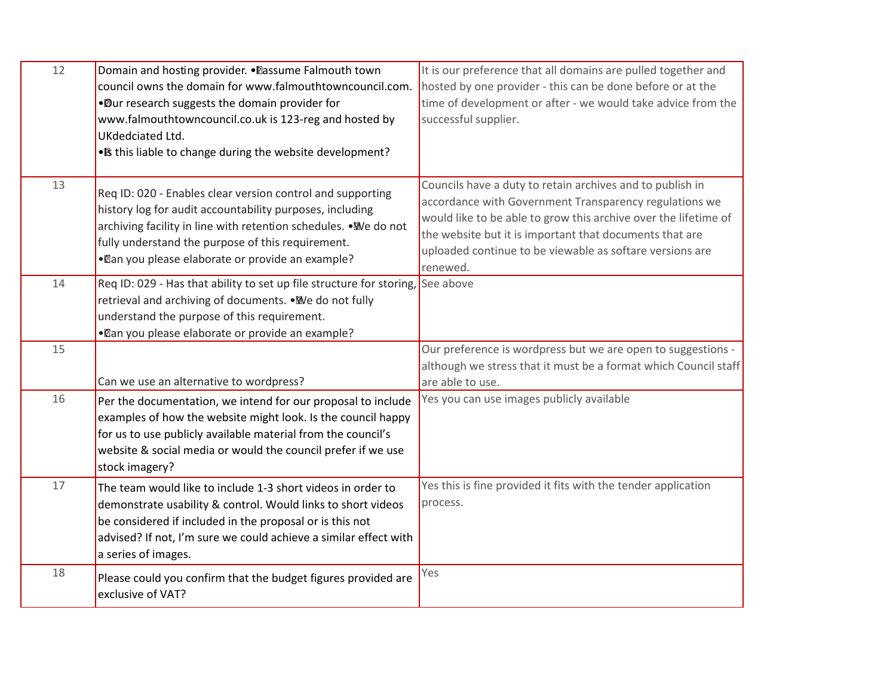| 12 | Domain and hosting provider. . Passume Falmouth town<br>council owns the domain for www.falmouthtowncouncil.com.<br>. Dur research suggests the domain provider for<br>www.falmouthtowncouncil.co.uk is 123-reg and hosted by<br>UKdedciated Ltd.<br>• Is this liable to change during the website development? | It is our preference that all domains are pulled together and<br>hosted by one provider - this can be done before or at the<br>time of development or after - we would take advice from the<br>successful supplier.                                                                                                       |
|----|-----------------------------------------------------------------------------------------------------------------------------------------------------------------------------------------------------------------------------------------------------------------------------------------------------------------|---------------------------------------------------------------------------------------------------------------------------------------------------------------------------------------------------------------------------------------------------------------------------------------------------------------------------|
| 13 | Req ID: 020 - Enables clear version control and supporting<br>history log for audit accountability purposes, including<br>archiving facility in line with retention schedules. . We do not<br>fully understand the purpose of this requirement.<br>• Can you please elaborate or provide an example?            | Councils have a duty to retain archives and to publish in<br>accordance with Government Transparency regulations we<br>would like to be able to grow this archive over the lifetime of<br>the website but it is important that documents that are<br>uploaded continue to be viewable as softare versions are<br>renewed. |
| 14 | Req ID: 029 - Has that ability to set up file structure for storing, See above<br>retrieval and archiving of documents. . We do not fully<br>understand the purpose of this requirement.<br>• Can you please elaborate or provide an example?                                                                   |                                                                                                                                                                                                                                                                                                                           |
| 15 | Can we use an alternative to wordpress?                                                                                                                                                                                                                                                                         | Our preference is wordpress but we are open to suggestions -<br>although we stress that it must be a format which Council staff<br>are able to use.                                                                                                                                                                       |
| 16 | Per the documentation, we intend for our proposal to include<br>examples of how the website might look. Is the council happy<br>for us to use publicly available material from the council's<br>website & social media or would the council prefer if we use<br>stock imagery?                                  | Yes you can use images publicly available                                                                                                                                                                                                                                                                                 |
| 17 | The team would like to include 1-3 short videos in order to<br>demonstrate usability & control. Would links to short videos<br>be considered if included in the proposal or is this not<br>advised? If not, I'm sure we could achieve a similar effect with<br>a series of images.                              | Yes this is fine provided it fits with the tender application<br>process.                                                                                                                                                                                                                                                 |
| 18 | Please could you confirm that the budget figures provided are<br>exclusive of VAT?                                                                                                                                                                                                                              | Yes                                                                                                                                                                                                                                                                                                                       |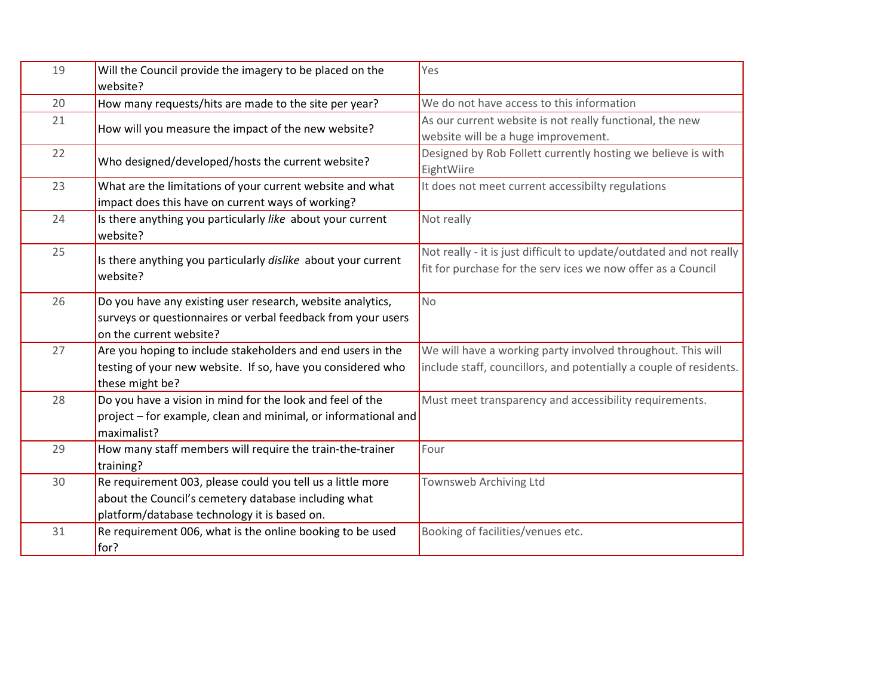| 19 | Will the Council provide the imagery to be placed on the<br>website?                                                                                               | Yes                                                                                                                                 |
|----|--------------------------------------------------------------------------------------------------------------------------------------------------------------------|-------------------------------------------------------------------------------------------------------------------------------------|
| 20 | How many requests/hits are made to the site per year?                                                                                                              | We do not have access to this information                                                                                           |
| 21 | How will you measure the impact of the new website?                                                                                                                | As our current website is not really functional, the new<br>website will be a huge improvement.                                     |
| 22 | Who designed/developed/hosts the current website?                                                                                                                  | Designed by Rob Follett currently hosting we believe is with<br>EightWiire                                                          |
| 23 | What are the limitations of your current website and what                                                                                                          | It does not meet current accessibilty regulations                                                                                   |
|    | impact does this have on current ways of working?                                                                                                                  |                                                                                                                                     |
| 24 | Is there anything you particularly like about your current<br>website?                                                                                             | Not really                                                                                                                          |
| 25 | Is there anything you particularly dislike about your current<br>website?                                                                                          | Not really - it is just difficult to update/outdated and not really<br>fit for purchase for the serv ices we now offer as a Council |
| 26 | Do you have any existing user research, website analytics,<br>surveys or questionnaires or verbal feedback from your users<br>on the current website?              | <b>No</b>                                                                                                                           |
| 27 | Are you hoping to include stakeholders and end users in the<br>testing of your new website. If so, have you considered who<br>these might be?                      | We will have a working party involved throughout. This will<br>include staff, councillors, and potentially a couple of residents.   |
| 28 | Do you have a vision in mind for the look and feel of the<br>project – for example, clean and minimal, or informational and<br>maximalist?                         | Must meet transparency and accessibility requirements.                                                                              |
| 29 | How many staff members will require the train-the-trainer<br>training?                                                                                             | Four                                                                                                                                |
| 30 | Re requirement 003, please could you tell us a little more<br>about the Council's cemetery database including what<br>platform/database technology it is based on. | Townsweb Archiving Ltd                                                                                                              |
| 31 | Re requirement 006, what is the online booking to be used<br>for?                                                                                                  | Booking of facilities/venues etc.                                                                                                   |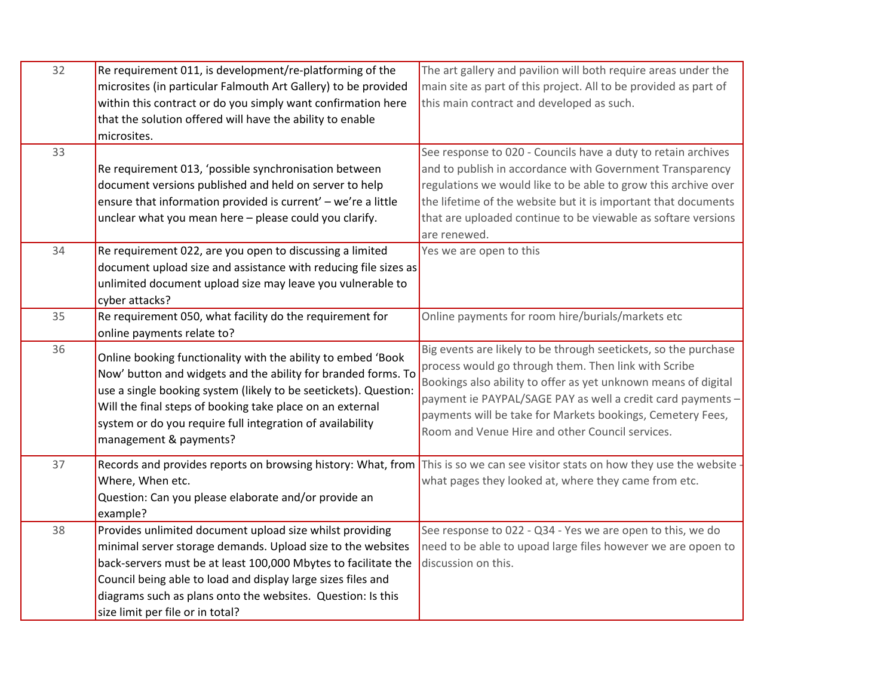| 32 | Re requirement 011, is development/re-platforming of the                                                                                                                                                                                                                                                                                              | The art gallery and pavilion will both require areas under the                                                                                                                                                                                                                                                                                                            |
|----|-------------------------------------------------------------------------------------------------------------------------------------------------------------------------------------------------------------------------------------------------------------------------------------------------------------------------------------------------------|---------------------------------------------------------------------------------------------------------------------------------------------------------------------------------------------------------------------------------------------------------------------------------------------------------------------------------------------------------------------------|
|    | microsites (in particular Falmouth Art Gallery) to be provided                                                                                                                                                                                                                                                                                        | main site as part of this project. All to be provided as part of                                                                                                                                                                                                                                                                                                          |
|    | within this contract or do you simply want confirmation here                                                                                                                                                                                                                                                                                          | this main contract and developed as such.                                                                                                                                                                                                                                                                                                                                 |
|    | that the solution offered will have the ability to enable                                                                                                                                                                                                                                                                                             |                                                                                                                                                                                                                                                                                                                                                                           |
|    | microsites.                                                                                                                                                                                                                                                                                                                                           |                                                                                                                                                                                                                                                                                                                                                                           |
| 33 | Re requirement 013, 'possible synchronisation between                                                                                                                                                                                                                                                                                                 | See response to 020 - Councils have a duty to retain archives<br>and to publish in accordance with Government Transparency                                                                                                                                                                                                                                                |
|    |                                                                                                                                                                                                                                                                                                                                                       |                                                                                                                                                                                                                                                                                                                                                                           |
|    | document versions published and held on server to help                                                                                                                                                                                                                                                                                                | regulations we would like to be able to grow this archive over                                                                                                                                                                                                                                                                                                            |
|    | ensure that information provided is current' - we're a little                                                                                                                                                                                                                                                                                         | the lifetime of the website but it is important that documents                                                                                                                                                                                                                                                                                                            |
|    | unclear what you mean here - please could you clarify.                                                                                                                                                                                                                                                                                                | that are uploaded continue to be viewable as softare versions                                                                                                                                                                                                                                                                                                             |
|    |                                                                                                                                                                                                                                                                                                                                                       | are renewed.                                                                                                                                                                                                                                                                                                                                                              |
| 34 | Re requirement 022, are you open to discussing a limited                                                                                                                                                                                                                                                                                              | Yes we are open to this                                                                                                                                                                                                                                                                                                                                                   |
|    | document upload size and assistance with reducing file sizes as                                                                                                                                                                                                                                                                                       |                                                                                                                                                                                                                                                                                                                                                                           |
|    | unlimited document upload size may leave you vulnerable to                                                                                                                                                                                                                                                                                            |                                                                                                                                                                                                                                                                                                                                                                           |
|    | cyber attacks?                                                                                                                                                                                                                                                                                                                                        |                                                                                                                                                                                                                                                                                                                                                                           |
| 35 | Re requirement 050, what facility do the requirement for                                                                                                                                                                                                                                                                                              | Online payments for room hire/burials/markets etc                                                                                                                                                                                                                                                                                                                         |
|    | online payments relate to?                                                                                                                                                                                                                                                                                                                            |                                                                                                                                                                                                                                                                                                                                                                           |
| 36 | Online booking functionality with the ability to embed 'Book<br>Now' button and widgets and the ability for branded forms. To<br>use a single booking system (likely to be seetickets). Question:<br>Will the final steps of booking take place on an external<br>system or do you require full integration of availability<br>management & payments? | Big events are likely to be through seetickets, so the purchase<br>process would go through them. Then link with Scribe<br>Bookings also ability to offer as yet unknown means of digital<br>payment ie PAYPAL/SAGE PAY as well a credit card payments -<br>payments will be take for Markets bookings, Cemetery Fees,<br>Room and Venue Hire and other Council services. |
|    |                                                                                                                                                                                                                                                                                                                                                       |                                                                                                                                                                                                                                                                                                                                                                           |
| 37 | Records and provides reports on browsing history: What, from This is so we can see visitor stats on how they use the website<br>Where, When etc.<br>Question: Can you please elaborate and/or provide an<br>example?                                                                                                                                  | what pages they looked at, where they came from etc.                                                                                                                                                                                                                                                                                                                      |
| 38 | Provides unlimited document upload size whilst providing                                                                                                                                                                                                                                                                                              | See response to 022 - Q34 - Yes we are open to this, we do                                                                                                                                                                                                                                                                                                                |
|    | minimal server storage demands. Upload size to the websites                                                                                                                                                                                                                                                                                           | need to be able to upoad large files however we are opoen to                                                                                                                                                                                                                                                                                                              |
|    | back-servers must be at least 100,000 Mbytes to facilitate the                                                                                                                                                                                                                                                                                        | discussion on this.                                                                                                                                                                                                                                                                                                                                                       |
|    | Council being able to load and display large sizes files and                                                                                                                                                                                                                                                                                          |                                                                                                                                                                                                                                                                                                                                                                           |
|    | diagrams such as plans onto the websites. Question: Is this                                                                                                                                                                                                                                                                                           |                                                                                                                                                                                                                                                                                                                                                                           |
|    | size limit per file or in total?                                                                                                                                                                                                                                                                                                                      |                                                                                                                                                                                                                                                                                                                                                                           |